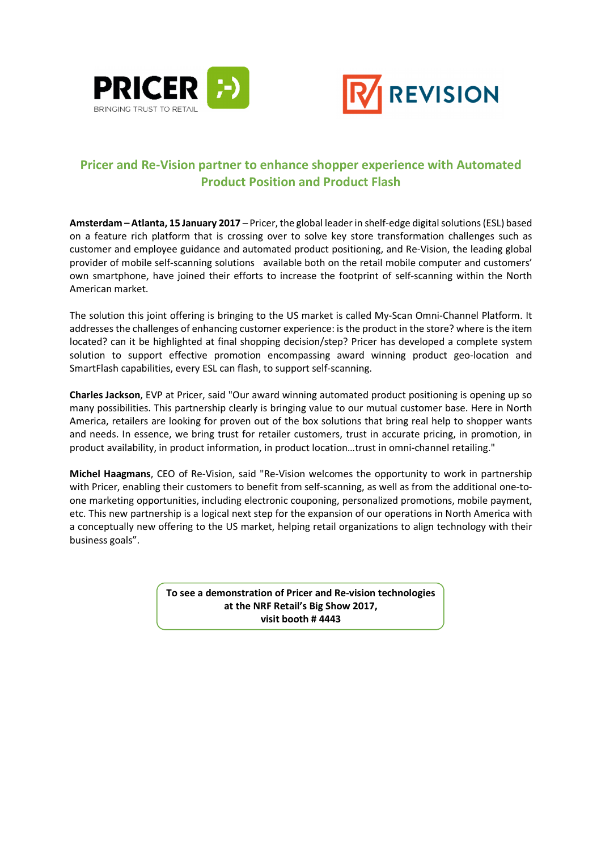



## **Pricer and Re-Vision partner to enhance shopper experience with Automated Product Position and Product Flash**

**Amsterdam – Atlanta, 15 January 2017** – Pricer, the global leader in shelf-edge digital solutions (ESL) based on a feature rich platform that is crossing over to solve key store transformation challenges such as customer and employee guidance and automated product positioning, and Re-Vision, the leading global provider of mobile self-scanning solutions available both on the retail mobile computer and customers' own smartphone, have joined their efforts to increase the footprint of self-scanning within the North American market.

The solution this joint offering is bringing to the US market is called My-Scan Omni-Channel Platform. It addresses the challenges of enhancing customer experience: is the product in the store? where is the item located? can it be highlighted at final shopping decision/step? Pricer has developed a complete system solution to support effective promotion encompassing award winning product geo-location and SmartFlash capabilities, every ESL can flash, to support self-scanning.

**Charles Jackson**, EVP at Pricer, said "Our award winning automated product positioning is opening up so many possibilities. This partnership clearly is bringing value to our mutual customer base. Here in North America, retailers are looking for proven out of the box solutions that bring real help to shopper wants and needs. In essence, we bring trust for retailer customers, trust in accurate pricing, in promotion, in product availability, in product information, in product location…trust in omni-channel retailing."

**Michel Haagmans**, CEO of Re-Vision, said "Re-Vision welcomes the opportunity to work in partnership with Pricer, enabling their customers to benefit from self-scanning, as well as from the additional one-toone marketing opportunities, including electronic couponing, personalized promotions, mobile payment, etc. This new partnership is a logical next step for the expansion of our operations in North America with a conceptually new offering to the US market, helping retail organizations to align technology with their business goals".

> **To see a demonstration of Pricer and Re-vision technologies at the NRF Retail's Big Show 2017, visit booth # 4443**